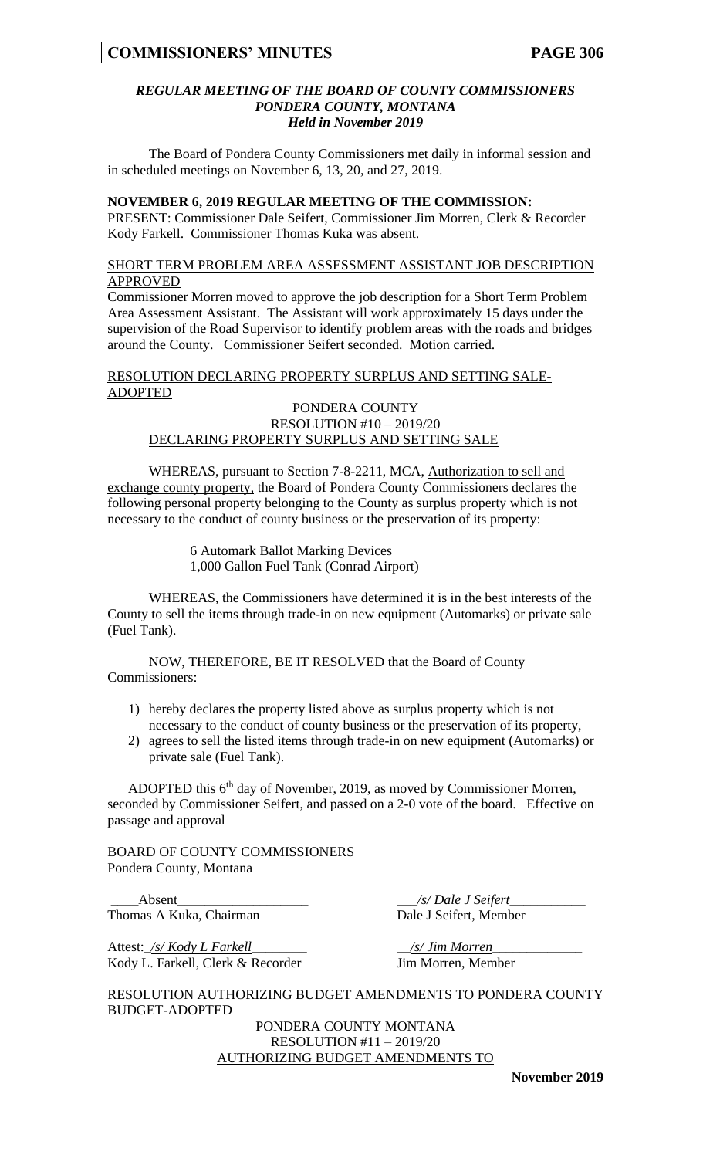## *REGULAR MEETING OF THE BOARD OF COUNTY COMMISSIONERS PONDERA COUNTY, MONTANA Held in November 2019*

The Board of Pondera County Commissioners met daily in informal session and in scheduled meetings on November 6, 13, 20, and 27, 2019.

#### **NOVEMBER 6, 2019 REGULAR MEETING OF THE COMMISSION:**

PRESENT: Commissioner Dale Seifert, Commissioner Jim Morren, Clerk & Recorder Kody Farkell. Commissioner Thomas Kuka was absent.

## SHORT TERM PROBLEM AREA ASSESSMENT ASSISTANT JOB DESCRIPTION APPROVED

Commissioner Morren moved to approve the job description for a Short Term Problem Area Assessment Assistant. The Assistant will work approximately 15 days under the supervision of the Road Supervisor to identify problem areas with the roads and bridges around the County. Commissioner Seifert seconded. Motion carried.

# RESOLUTION DECLARING PROPERTY SURPLUS AND SETTING SALE-ADOPTED

#### PONDERA COUNTY RESOLUTION #10 – 2019/20 DECLARING PROPERTY SURPLUS AND SETTING SALE

WHEREAS, pursuant to Section 7-8-2211, MCA, Authorization to sell and exchange county property, the Board of Pondera County Commissioners declares the following personal property belonging to the County as surplus property which is not necessary to the conduct of county business or the preservation of its property:

> 6 Automark Ballot Marking Devices 1,000 Gallon Fuel Tank (Conrad Airport)

WHEREAS, the Commissioners have determined it is in the best interests of the County to sell the items through trade-in on new equipment (Automarks) or private sale (Fuel Tank).

NOW, THEREFORE, BE IT RESOLVED that the Board of County Commissioners:

- 1) hereby declares the property listed above as surplus property which is not necessary to the conduct of county business or the preservation of its property,
- 2) agrees to sell the listed items through trade-in on new equipment (Automarks) or private sale (Fuel Tank).

ADOPTED this 6<sup>th</sup> day of November, 2019, as moved by Commissioner Morren, seconded by Commissioner Seifert, and passed on a 2-0 vote of the board. Effective on passage and approval

BOARD OF COUNTY COMMISSIONERS Pondera County, Montana

\_\_\_\_Absent\_\_\_\_\_\_\_\_\_\_\_\_\_\_\_\_\_\_\_ \_\_\_*/s/ Dale J Seifert*\_\_\_\_\_\_\_\_\_\_\_ Thomas A Kuka, Chairman Dale J Seifert, Member

Attest:\_*/s/ Kody L Farkell*\_\_\_\_\_\_\_\_ \_\_*/s/ Jim Morren*\_\_\_\_\_\_\_\_\_\_\_\_\_ Kody L. Farkell, Clerk & Recorder Jim Morren, Member

RESOLUTION AUTHORIZING BUDGET AMENDMENTS TO PONDERA COUNTY BUDGET-ADOPTED

> PONDERA COUNTY MONTANA RESOLUTION #11 – 2019/20 AUTHORIZING BUDGET AMENDMENTS TO

> > **November 2019**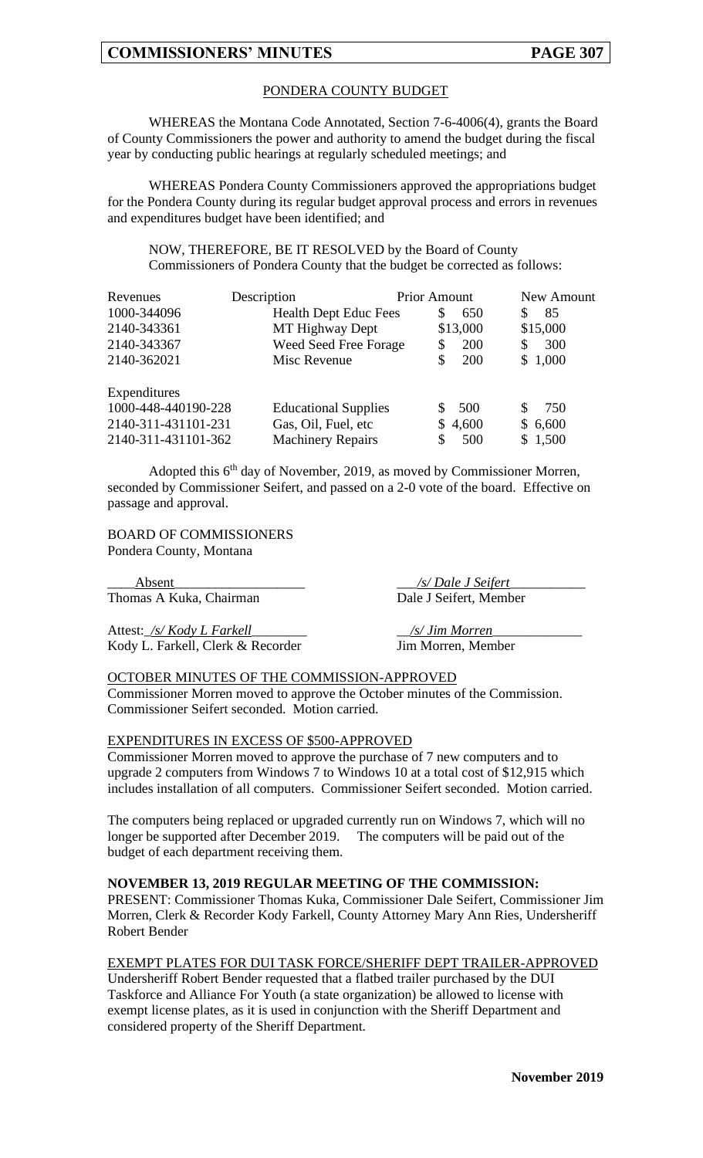# PONDERA COUNTY BUDGET

WHEREAS the Montana Code Annotated, Section 7-6-4006(4), grants the Board of County Commissioners the power and authority to amend the budget during the fiscal year by conducting public hearings at regularly scheduled meetings; and

WHEREAS Pondera County Commissioners approved the appropriations budget for the Pondera County during its regular budget approval process and errors in revenues and expenditures budget have been identified; and

NOW, THEREFORE, BE IT RESOLVED by the Board of County Commissioners of Pondera County that the budget be corrected as follows:

| Revenues            | Description                  | <b>Prior Amount</b> |          | New Amount |
|---------------------|------------------------------|---------------------|----------|------------|
| 1000-344096         | <b>Health Dept Educ Fees</b> | \$                  | 650      | 85<br>\$   |
| 2140-343361         | MT Highway Dept              |                     | \$13,000 | \$15,000   |
| 2140-343367         | Weed Seed Free Forage        | \$                  | 200      | 300<br>\$  |
| 2140-362021         | Misc Revenue                 |                     | 200      | \$1,000    |
| Expenditures        |                              |                     |          |            |
| 1000-448-440190-228 | <b>Educational Supplies</b>  | S.                  | 500      | 750<br>S   |
| 2140-311-431101-231 | Gas, Oil, Fuel, etc          |                     | \$4,600  | \$6,600    |
| 2140-311-431101-362 | <b>Machinery Repairs</b>     |                     | 500      | \$1,500    |

Adopted this 6<sup>th</sup> day of November, 2019, as moved by Commissioner Morren, seconded by Commissioner Seifert, and passed on a 2-0 vote of the board. Effective on passage and approval.

BOARD OF COMMISSIONERS Pondera County, Montana

\_\_\_\_Absent\_\_\_\_\_\_\_\_\_\_\_\_\_\_\_\_\_\_\_ \_\_\_*/s/ Dale J Seifert*\_\_\_\_\_\_\_\_\_\_\_ Thomas A Kuka, Chairman Dale J Seifert, Member

Attest:\_*/s/ Kody L Farkell*\_\_\_\_\_\_\_\_ \_\_*/s/ Jim Morren*\_\_\_\_\_\_\_\_\_\_\_\_\_ Kody L. Farkell, Clerk & Recorder Jim Morren, Member

# OCTOBER MINUTES OF THE COMMISSION-APPROVED

Commissioner Morren moved to approve the October minutes of the Commission. Commissioner Seifert seconded. Motion carried.

#### EXPENDITURES IN EXCESS OF \$500-APPROVED

Commissioner Morren moved to approve the purchase of 7 new computers and to upgrade 2 computers from Windows 7 to Windows 10 at a total cost of \$12,915 which includes installation of all computers. Commissioner Seifert seconded. Motion carried.

The computers being replaced or upgraded currently run on Windows 7, which will no longer be supported after December 2019. The computers will be paid out of the budget of each department receiving them.

#### **NOVEMBER 13, 2019 REGULAR MEETING OF THE COMMISSION:**

PRESENT: Commissioner Thomas Kuka, Commissioner Dale Seifert, Commissioner Jim Morren, Clerk & Recorder Kody Farkell, County Attorney Mary Ann Ries, Undersheriff Robert Bender

## EXEMPT PLATES FOR DUI TASK FORCE/SHERIFF DEPT TRAILER-APPROVED

Undersheriff Robert Bender requested that a flatbed trailer purchased by the DUI Taskforce and Alliance For Youth (a state organization) be allowed to license with exempt license plates, as it is used in conjunction with the Sheriff Department and considered property of the Sheriff Department.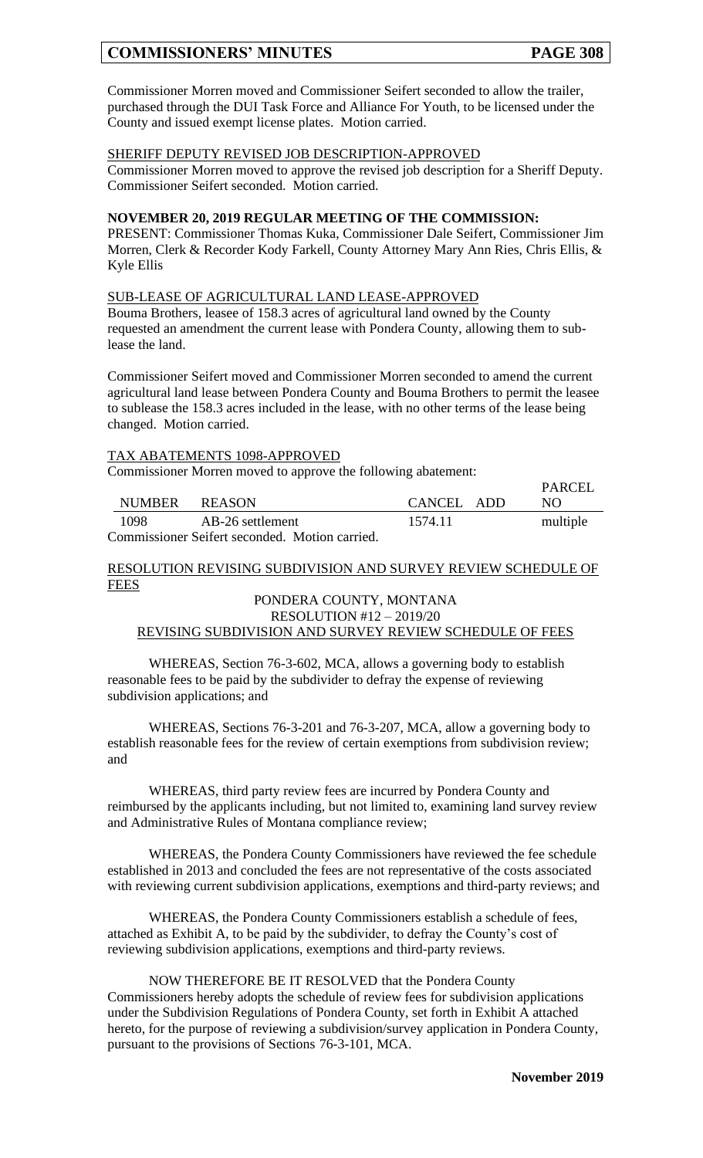# **COMMISSIONERS' MINUTES PAGE 308**

Commissioner Morren moved and Commissioner Seifert seconded to allow the trailer, purchased through the DUI Task Force and Alliance For Youth, to be licensed under the County and issued exempt license plates. Motion carried.

#### SHERIFF DEPUTY REVISED JOB DESCRIPTION-APPROVED

Commissioner Morren moved to approve the revised job description for a Sheriff Deputy. Commissioner Seifert seconded. Motion carried.

## **NOVEMBER 20, 2019 REGULAR MEETING OF THE COMMISSION:**

PRESENT: Commissioner Thomas Kuka, Commissioner Dale Seifert, Commissioner Jim Morren, Clerk & Recorder Kody Farkell, County Attorney Mary Ann Ries, Chris Ellis, & Kyle Ellis

### SUB-LEASE OF AGRICULTURAL LAND LEASE-APPROVED

Bouma Brothers, leasee of 158.3 acres of agricultural land owned by the County requested an amendment the current lease with Pondera County, allowing them to sublease the land.

Commissioner Seifert moved and Commissioner Morren seconded to amend the current agricultural land lease between Pondera County and Bouma Brothers to permit the leasee to sublease the 158.3 acres included in the lease, with no other terms of the lease being changed. Motion carried.

### TAX ABATEMENTS 1098-APPROVED

Commissioner Morren moved to approve the following abatement:

|                                              | NUMBER REASON |                  | CANCEL ADD | PARCEL<br>NO. |
|----------------------------------------------|---------------|------------------|------------|---------------|
|                                              | 1098          | AB-26 settlement | 1574.11    | multiple      |
| Commissionar Soifart secondad Motion corried |               |                  |            |               |

Commissioner Seifert seconded. Motion carried.

### RESOLUTION REVISING SUBDIVISION AND SURVEY REVIEW SCHEDULE OF **FEES**

### PONDERA COUNTY, MONTANA RESOLUTION #12 – 2019/20 REVISING SUBDIVISION AND SURVEY REVIEW SCHEDULE OF FEES

WHEREAS, Section 76-3-602, MCA, allows a governing body to establish reasonable fees to be paid by the subdivider to defray the expense of reviewing subdivision applications; and

WHEREAS, Sections 76-3-201 and 76-3-207, MCA, allow a governing body to establish reasonable fees for the review of certain exemptions from subdivision review; and

WHEREAS, third party review fees are incurred by Pondera County and reimbursed by the applicants including, but not limited to, examining land survey review and Administrative Rules of Montana compliance review;

WHEREAS, the Pondera County Commissioners have reviewed the fee schedule established in 2013 and concluded the fees are not representative of the costs associated with reviewing current subdivision applications, exemptions and third-party reviews; and

WHEREAS, the Pondera County Commissioners establish a schedule of fees, attached as Exhibit A, to be paid by the subdivider, to defray the County's cost of reviewing subdivision applications, exemptions and third-party reviews.

NOW THEREFORE BE IT RESOLVED that the Pondera County Commissioners hereby adopts the schedule of review fees for subdivision applications under the Subdivision Regulations of Pondera County, set forth in Exhibit A attached hereto, for the purpose of reviewing a subdivision/survey application in Pondera County, pursuant to the provisions of Sections 76-3-101, MCA.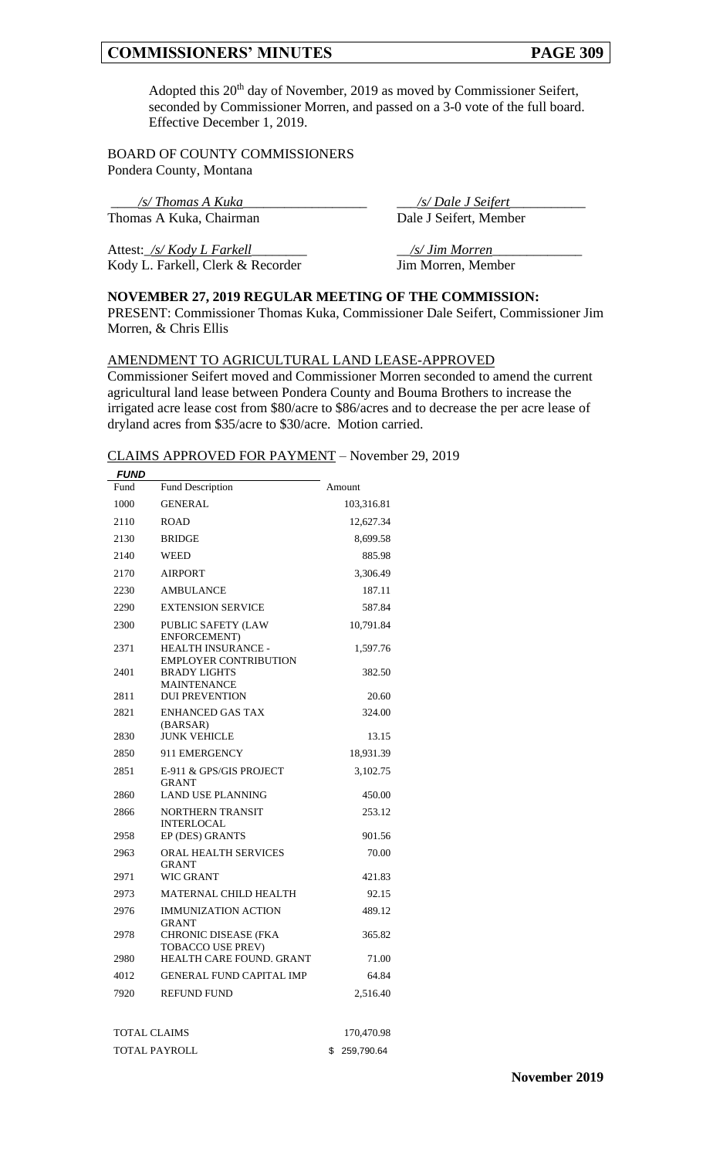# **COMMISSIONERS' MINUTES PAGE 309**

Adopted this 20<sup>th</sup> day of November, 2019 as moved by Commissioner Seifert, seconded by Commissioner Morren, and passed on a 3-0 vote of the full board. Effective December 1, 2019.

BOARD OF COUNTY COMMISSIONERS Pondera County, Montana

Thomas A Kuka, Chairman

\_\_\_\_*/s/ Thomas A Kuka*\_\_\_\_\_\_\_\_\_\_\_\_\_\_\_\_\_\_ \_\_\_*/s/ Dale J Seifert*\_\_\_\_\_\_\_\_\_\_\_

Attest:\_*/s/ Kody L Farkell*\_\_\_\_\_\_\_\_ \_\_*/s/ Jim Morren*\_\_\_\_\_\_\_\_\_\_\_\_\_ Kody L. Farkell, Clerk & Recorder Jim Morren, Member

# **NOVEMBER 27, 2019 REGULAR MEETING OF THE COMMISSION:**

PRESENT: Commissioner Thomas Kuka, Commissioner Dale Seifert, Commissioner Jim Morren, & Chris Ellis

#### AMENDMENT TO AGRICULTURAL LAND LEASE-APPROVED

Commissioner Seifert moved and Commissioner Morren seconded to amend the current agricultural land lease between Pondera County and Bouma Brothers to increase the irrigated acre lease cost from \$80/acre to \$86/acres and to decrease the per acre lease of dryland acres from \$35/acre to \$30/acre. Motion carried.

#### CLAIMS APPROVED FOR PAYMENT – November 29, 2019

| <b>FUND</b> |                                                         |            |
|-------------|---------------------------------------------------------|------------|
| Fund        | <b>Fund Description</b>                                 | Amount     |
| 1000        | <b>GENERAL</b>                                          | 103,316.81 |
| 2110        | <b>ROAD</b>                                             | 12,627.34  |
| 2130        | <b>BRIDGE</b>                                           | 8,699.58   |
| 2140        | WEED                                                    | 885.98     |
| 2170        | <b>AIRPORT</b>                                          | 3,306.49   |
| 2230        | <b>AMBULANCE</b>                                        | 187.11     |
| 2290        | <b>EXTENSION SERVICE</b>                                | 587.84     |
| 2300        | PUBLIC SAFETY (LAW<br>ENFORCEMENT)                      | 10,791.84  |
| 2371        | HEALTH INSURANCE -<br><b>EMPLOYER CONTRIBUTION</b>      | 1,597.76   |
| 2401        | <b>BRADY LIGHTS</b><br><b>MAINTENANCE</b>               | 382.50     |
| 2811        | <b>DUI PREVENTION</b>                                   | 20.60      |
| 2821        | <b>ENHANCED GAS TAX</b><br>(BARSAR)                     | 324.00     |
| 2830        | <b>JUNK VEHICLE</b>                                     | 13.15      |
| 2850        | 911 EMERGENCY                                           | 18,931.39  |
| 2851        | E-911 & GPS/GIS PROJECT<br><b>GRANT</b>                 | 3,102.75   |
| 2860        | <b>LAND USE PLANNING</b>                                | 450.00     |
| 2866        | <b>NORTHERN TRANSIT</b><br><b>INTERLOCAL</b>            | 253.12     |
| 2958        | EP (DES) GRANTS                                         | 901.56     |
| 2963        | <b>ORAL HEALTH SERVICES</b><br><b>GRANT</b>             | 70.00      |
| 2971        | <b>WIC GRANT</b>                                        | 421.83     |
| 2973        | <b>MATERNAL CHILD HEALTH</b>                            | 92.15      |
| 2976        | <b>IMMUNIZATION ACTION</b><br><b>GRANT</b>              | 489.12     |
| 2978        | <b>CHRONIC DISEASE (FKA</b><br><b>TOBACCO USE PREV)</b> | 365.82     |
| 2980        | <b>HEALTH CARE FOUND, GRANT</b>                         | 71.00      |
| 4012        | <b>GENERAL FUND CAPITAL IMP</b>                         | 64.84      |
| 7920        | <b>REFUND FUND</b>                                      | 2,516.40   |
|             |                                                         |            |

| TOTAL CLAIMS  | 170,470.98    |
|---------------|---------------|
| TOTAL PAYROLL | \$ 259,790.64 |